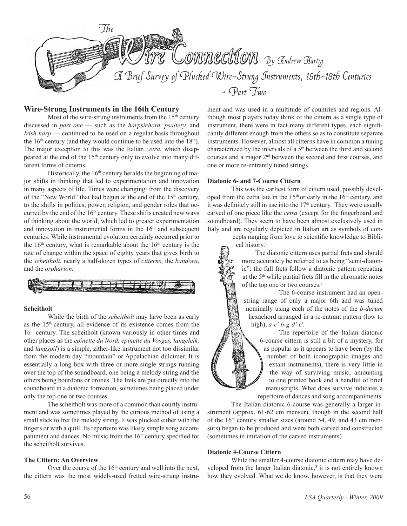

## **Wire-Strung Instruments in the 16th Century**

Most of the wire-strung instruments from the  $15<sup>th</sup>$  century discussed in *part one* — such as the *harpsichord, psaltery,* and *Irish harp* — continued to be used on a regular basis throughout the  $16<sup>th</sup>$  century (and they would continue to be used into the  $18<sup>th</sup>$ ). The major exception to this was the Italian *cetra*, which disappeared at the end of the 15<sup>th</sup> century only to evolve into many different forms of citterns. 

Historically, the  $16<sup>th</sup>$  century heralds the beginning of major shifts in thinking that led to experimentation and innovation in many aspects of life. Times were changing: from the discovery of the "New World" that had begun at the end of the 15<sup>th</sup> century, to the shifts in politics, power, religion, and gender roles that occurred by the end of the 16<sup>th</sup> century. These shifts created new ways of thinking about the world, which led to greater experimentation and innovation in instrumental forms in the  $16<sup>th</sup>$  and subsequent centuries. While instrumental evolution certainly occurred prior to the  $16<sup>th</sup>$  century, what is remarkable about the  $16<sup>th</sup>$  century is the rate of change within the space of eighty years that gives birth to the *scheitholt*, nearly a half-dozen types of *citterns*, the *bandora*, and the *orpharion.*



#### **Scheitholt**

 While the birth of the *scheitholt* may have been as early as the 15th century, all evidence of its existence comes from the 16<sup>th</sup> century. The scheitholt (known variously in other times and other places as the *epinette du Nord, epinette du Vosges, langeleik,* and *langspil*) is a simple, zither-like instrument not too dissimilar from the modern day "mountain" or Appalachian dulcimer. It is essentially a long box with three or more single strings running over the top of the soundboard, one being a melody string and the others being bourdons or drones. The frets are put directly into the soundboard in a diatonic formation, sometimes being placed under only the top one or two courses.

 The scheitholt was more of a common than courtly instrument and was sometimes played by the curious method of using a small stick to fret the melody string. It was plucked either with the fingers or with a quill. Its repertoire was likely simple song accompaniment and dances. No music from the 16<sup>th</sup> century specified for the scheitholt survives.

## **The Cittern: An Overview**

Over the course of the  $16<sup>th</sup>$  century and well into the next, the cittern was the most widely-used fretted wire-strung instru-

ment and was used in a multitude of countries and regions. Although most players today think of the cittern as a single type of instrument, there were in fact many different types, each significantly different enough from the others so as to constitute separate instruments. However, almost all citterns have in common a tuning characterized by the intervals of a 5<sup>th</sup> between the third and second courses and a major 2nd between the second and first courses, and one or more re-entrantly tuned strings.

## **Diatonic 6- and 7-Course Cittern**

 This was the earliest form of cittern used, possibly developed from the cetra late in the  $15<sup>th</sup>$  or early in the  $16<sup>th</sup>$  century, and it was definitely still in use into the  $17<sup>th</sup>$  century. They were usually carved of one piece like the *cetra* (except for the fingerboard and soundboard). They seem to have been almost exclusively used in Italy and are regularly depicted in Italian art as symbols of con-

> cepts ranging from love to scientific knowledge to Biblical history.<sup>1</sup>

 The diatonic cittern uses partial frets and should more accurately be referred to as being "semi-diatonic": the full frets follow a diatonic pattern repeating at the 5<sup>th</sup> while partial frets fill in the chromatic notes of the top one or two courses.2

 The 6-course instrument had an openstring range of only a major 6th and was tuned nominally using each of the notes of the *b-durum*  hexachord arranged in a re-entrant pattern (low to high), *a-c'-b-g-d'-e'.*

 The repertoire of the Italian diatonic 6-course cittern is still a bit of a mystery, for as popular as it appears to have been (by the number of both iconographic images and extant instruments), there is very little in the way of surviving music, amounting to one printed book and a handful of brief manuscripts. What does survive indicates a repertoire of dances and song accompaniments.

 The Italian diatonic 6-course was generally a larger instrument (approx. 61-62 cm mensur), though in the second half of the  $16<sup>th</sup>$  century smaller sizes (around 54, 49, and 43 cm mensurs) began to be produced and were both carved and constructed (sometimes in imitation of the carved instruments).

#### **Diatonic 4-Course Cittern**

 While the smaller 4-course diatonic cittern may have developed from the larger Italian diatonic, $3$  it is not entirely known how they evolved. What we do know, however, is that they were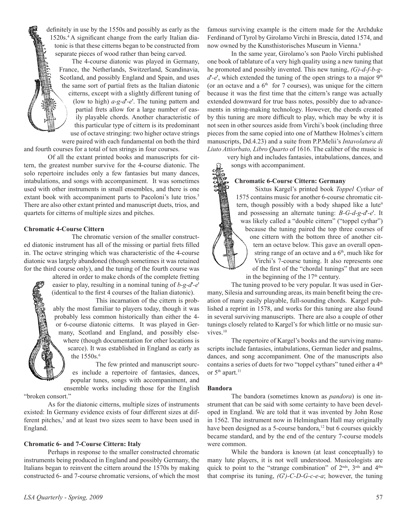definitely in use by the 1550s and possibly as early as the 1520s.4 A significant change from the early Italian diatonic is that these citterns began to be constructed from separate pieces of wood rather than being carved.

 The 4-course diatonic was played in Germany, France, the Netherlands, Switzerland, Scandinavia, Scotland, and possibly England and Spain, and uses the same sort of partial frets as the Italian diatonic citterns, except with a slightly different tuning of (low to high) *a-g-d*'*-e*'. The tuning pattern and partial frets allow for a large number of easily playable chords. Another characteristic of this particular type of cittern is its predominant use of octave stringing: two higher octave strings

were paired with each fundamental on both the third and fourth courses for a total of ten strings in four courses.

 Of all the extant printed books and manuscripts for cittern, the greatest number survive for the 4-course diatonic. The solo repertoire includes only a few fantasies but many dances, intabulations, and songs with accompaniment. It was sometimes used with other instruments in small ensembles, and there is one extant book with accompaniment parts to Pacoloni's lute trios.<sup>5</sup> There are also other extant printed and manuscript duets, trios, and quartets for citterns of multiple sizes and pitches. 

## **Chromatic 4-Course Cittern**

 The chromatic version of the smaller constructed diatonic instrument has all of the missing or partial frets filled in. The octave stringing which was characteristic of the 4-course diatonic was largely abandoned (though sometimes it was retained for the third course only), and the tuning of the fourth course was

> altered in order to make chords of the complete fretting easier to play, resulting in a nominal tuning of *b-g-d*'*-e*' (identical to the first 4 courses of the Italian diatonic).

 This incarnation of the cittern is probably the most familiar to players today, though it was probably less common historically than either the 4 or 6-course diatonic citterns. It was played in Germany, Scotland and England, and possibly elsewhere (though documentation for other locations is scarce). It was established in England as early as the 1550s.<sup>6</sup>

 The few printed and manuscript sources include a repertoire of fantasies, dances, popular tunes, songs with accompaniment, and ensemble works including those for the English

"broken consort."

 As for the diatonic citterns, multiple sizes of instruments existed: In Germany evidence exists of four different sizes at different pitches,<sup>7</sup> and at least two sizes seem to have been used in England.

#### **Chromatic 6- and 7-Course Cittern: Italy**

 Perhaps in response to the smaller constructed chromatic instruments being produced in England and possibly Germany, the Italians began to reinvent the cittern around the 1570s by making constructed 6- and 7-course chromatic versions, of which the most

 In the same year, Girolamo's son Paolo Virchi published one book of tablature of a very high quality using a new tuning that he promoted and possibly invented. This new tuning, *(G)-d-f-b-g* $d'-e'$ , which extended the tuning of the open strings to a major  $9<sup>th</sup>$ (or an octave and a  $6<sup>th</sup>$  for 7 courses), was unique for the cittern because it was the first time that the cittern's range was actually extended downward for true bass notes, possibly due to advancements in string-making technology. However, the chords created by this tuning are more difficult to play, which may be why it is not seen in other sources aside from Virchi's book (including three pieces from the same copied into one of Matthew Holmes's cittern manuscripts, Dd.4.23) and a suite from P.P.Melii's *Intavolatura di Liuto Attiorbato, Libro Quarto* of 1616. The caliber of the music is

very high and includes fantasies, intabulations, dances, and songs with accompaniment.

## **Chromatic 6-Course Cittern: Germany**

 Sixtus Kargel's printed book *Toppel Cythar* of 1575 contains music for another 6-course chromatic cittern, though possibly with a body shaped like a lute<sup>9</sup> and possessing an alternate tuning: *B-G-d-g-d*'*-e*'. It was likely called a "double cittern" ("toppel cythar") because the tuning paired the top three courses of one cittern with the bottom three of another cittern an octave below. This gave an overall openstring range of an octave and a  $6<sup>th</sup>$ , much like for Virchi's 7-course tuning. It also represents one of the first of the "chordal tunings" that are seen in the beginning of the  $17<sup>th</sup>$  century.

 The tuning proved to be very popular. It was used in Germany, Silesia and surrounding areas, its main benefit being the creation of many easily playable, full-sounding chords. Kargel published a reprint in 1578, and works for this tuning are also found in several surviving manuscripts. There are also a couple of other tunings closely related to Kargel's for which little or no music survives.<sup>10</sup>

 The repertoire of Kargel's books and the surviving manuscripts include fantasies, intabulations, German lieder and psalms, dances, and song accompaniment. One of the manuscripts also contains a series of duets for two "toppel cythars" tuned either a 4<sup>th</sup> or 5<sup>th</sup> apart.<sup>11</sup>

#### **Bandora**

 The bandora (sometimes known as *pandora*) is one instrument that can be said with some certainty to have been developed in England. We are told that it was invented by John Rose in 1562. The instrument now in Helmingham Hall may originally have been designed as a 5-course bandora,<sup>12</sup> but 6 courses quickly became standard, and by the end of the century 7-course models were common.

 While the bandora is known (at least conceptually) to many lute players, it is not well understood. Musicologists are quick to point to the "strange combination" of 2<sup>nds</sup>, 3<sup>rds</sup> and 4<sup>ths</sup> that comprise its tuning, *(G*'*)-C-D-G-c-e-a*; however, the tuning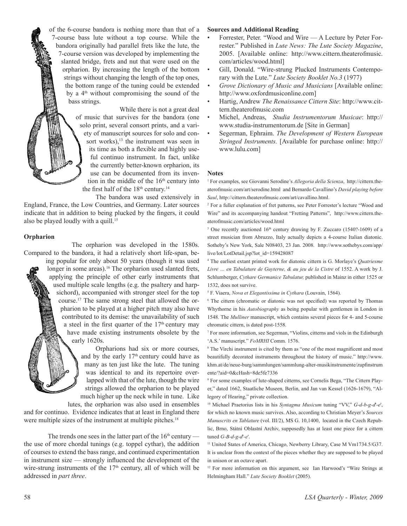of the 6-course bandora is nothing more than that of a 7-course bass lute without a top course. While the bandora originally had parallel frets like the lute, the 7-course version was developed by implementing the slanted bridge, frets and nut that were used on the orpharion. By increasing the length of the bottom strings without changing the length of the top ones, the bottom range of the tuning could be extended by a 4<sup>th</sup> without compromising the sound of the bass strings.

> While there is not a great deal of music that survives for the bandora (one solo print, several consort prints, and a variety of manuscript sources for solo and consort works), $13$  the instrument was seen in its time as both a flexible and highly useful continuo instrument. In fact, unlike the currently better-known orpharion, its use can be documented from its invention in the middle of the  $16<sup>th</sup>$  century into the first half of the  $18<sup>th</sup>$  century.<sup>14</sup>

 The bandora was used extensively in England, France, the Low Countries, and Germany. Later sources indicate that in addition to being plucked by the fingers, it could also be played loudly with a quill.<sup>15</sup>

#### **Orpharion**

 The orpharion was developed in the 1580s. Compared to the bandora, it had a relatively short life-span, be-

ing popular for only about 50 years (though it was used longer in some areas).<sup>16</sup> The orpharion used slanted frets, applying the principle of other early instruments that used multiple scale lengths (e.g. the psaltery and harpsichord), accompanied with stronger steel for the top course.17 The same strong steel that allowed the orpharion to be played at a higher pitch may also have contributed to its demise: the unavailability of such a steel in the first quarter of the  $17<sup>th</sup>$  century may have made existing instruments obsolete by the early 1620s.

> Orpharions had six or more courses, and by the early  $17<sup>th</sup>$  century could have as many as ten just like the lute. The tuning was identical to and its repertoire overlapped with that of the lute, though the wire strings allowed the orpharion to be played much higher up the neck while in tune. Like

lutes, the orpharion was also used in ensembles and for continuo. Evidence indicates that at least in England there were multiple sizes of the instrument at multiple pitches.<sup>18</sup>

The trends one sees in the latter part of the  $16<sup>th</sup>$  century the use of more chordal tunings (e.g. toppel cythar), the addition of courses to extend the bass range, and continued experimentation in instrument size –– strongly influenced the development of the wire-strung instruments of the  $17<sup>th</sup>$  century, all of which will be addressed in *part three*.

## **Sources and Additional Reading**

- Forrester, Peter. "Wood and Wire A Lecture by Peter Forrester." Published in *Lute News: The Lute Society Magazine*, 2005. [Available online: http://www.cittern.theaterofmusic. com/articles/wood.html]
- Gill, Donald. "Wire-strung Plucked Instruments Contemporary with the Lute." *Lute Society Booklet No.3* (1977)
- *• Grove Dictionary of Music and Musicians* [Available online: http://www.oxfordmusiconline.com]
- Hartig, Andrew *The Renaissance Cittern Site*: http://www.cittern.theaterofmusic.com
- • Michel, Andreas, *Studia Instrumentorum Musicae*: http:// www.studia-instrumentorum.de [Site in German]
- Segerman, Ephraim. *The Development of Western European Stringed Instruments.* [Available for purchase online: http:// www.lulu.com]

#### **Notes**

<sup>1</sup> For examples, see Giovanni Serodine's *Allegoria della Scienza*, http://cittern.theaterofmusic.com/art/serodine.html and Bernardo Cavallino's *David playing before Saul*, http://cittern.theaterofmusic.com/art/cavallino.html.

<sup>2</sup> For a fuller explanation of fret patterns, see Peter Forrester's lecture "Wood and Wire" and its accompanying handout "Fretting Patterns", http://www.cittern.theaterofmusic.com/articles/wood.html

<sup>3</sup> One recently auctioned 16<sup>th</sup> century drawing by F. Zuccaro (1540?-1609) of a street musician from Abruzzo, Italy actually depicts a 4-course Italian diatonic. Sotheby's New York, Sale N08403, 23 Jan. 2008. http://www.sothebys.com/app/ live/lot/LotDetail.jsp?lot\_id=159428087

<sup>4</sup> The earliest extant printed work for diatonic cittern is G. Morlaye's *Quatriesme Livre … en Tabulature de Guyterne, & au jeu de la Cistre* of 1552. A work by J. Schlumberger, *Cythare Germanice Tabulatur,* published in Mainz in either 1525 or 1532, does not survive.

<sup>5</sup> F. Viaera, *Nova et Elegantissima in Cythara* (Louvain, 1564).

<sup>6</sup> The cittern (chromatic or diatonic was not specified) was reported by Thomas Whythorne in his *Autobiography* as being popular with gentlemen in London in 1548. The *Mulliner* manuscript, which contains several pieces for 4- and 5-course chromatic cittern, is dated post-1558.

<sup>7</sup> For more information, see Segerman, "Violins, citterns and viols in the Edinburgh 'A.S.' manuscript." *FoMRHI* Comm. 1576.

<sup>8</sup> The Virchi instrument is cited by them as "one of the most magnificent and most beautifully decorated instruments throughout the history of music." http://www. khm.at/de/neue-burg/sammlungen/sammlung-alter-musikinstrumente/zupfinstrum ente/?aid=0&cHash=8de5fe7336

<sup>9</sup> For some examples of lute-shaped citterns, see Cornelis Bega, "The Cittern Player," dated 1662, Staatliche Museen, Berlin, and Jan van Kessel (1626-1679), "Allegory of Hearing," private collection.

<sup>10</sup> Michael Praetorius lists in his *Syntagma Musicum* tuning "VV," *G-d-b-g-d*'*-e*', for which no known music survives. Also, according to Christian Meyer's *Sources Manuscrits en Tablature* (vol. III/2), MS G. 10,1400, located in the Czech Republic, Brno, Státní Oblastní Archiv, supposedly has at least one piece for a cittern tuned *G-B-d-g-d*'*-e*'.

<sup>11</sup> United States of America, Chicago, Newberry Library, Case M Vm1734.5/G37. It is unclear from the context of the pieces whether they are supposed to be played in unison or an octave apart.

<sup>12</sup> For more information on this argument, see Ian Harwood's "Wire Strings at Helmingham Hall." *Lute Society Booklet* (2005).